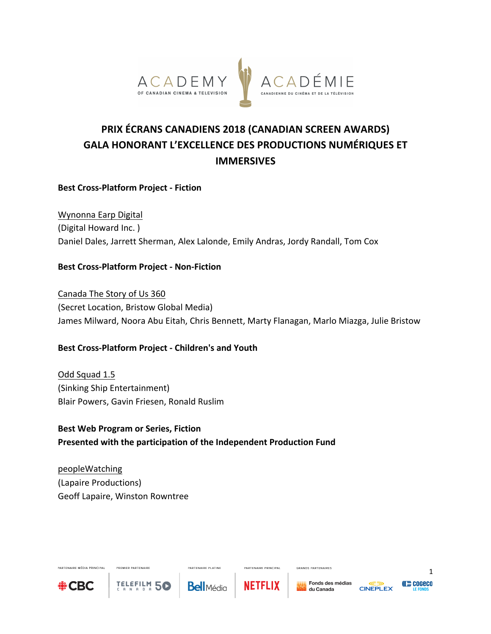

# **PRIX ÉCRANS CANADIENS 2018 (CANADIAN SCREEN AWARDS) GALA HONORANT L'EXCELLENCE DES PRODUCTIONS NUMÉRIQUES ET IMMERSIVES**

## **Best Cross-Platform Project - Fiction**

Wynonna Earp Digital (Digital Howard Inc.) Daniel Dales, Jarrett Sherman, Alex Lalonde, Emily Andras, Jordy Randall, Tom Cox

#### **Best Cross-Platform Project - Non-Fiction**

Canada The Story of Us 360 (Secret Location, Bristow Global Media) James Milward, Noora Abu Eitah, Chris Bennett, Marty Flanagan, Marlo Miazga, Julie Bristow

## **Best Cross-Platform Project - Children's and Youth**

Odd Squad 1.5 (Sinking Ship Entertainment) Blair Powers, Gavin Friesen, Ronald Ruslim

**Best Web Program or Series, Fiction** Presented with the participation of the Independent Production Fund

peopleWatching (Lapaire Productions) Geoff Lapaire, Winston Rowntree

**DOCMICO DADTENAIDE** 

TELEFILM 5C



PARTENAIRE MÉDIA PRINCIPAL

**Bell**Média

**PARTENAIRE PLATINE** 



PARTENAIRE PRINCIPAL

GRANDS PARTENAIRES



1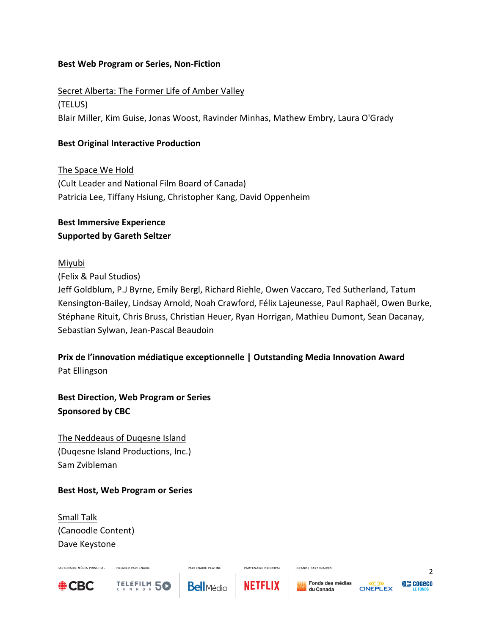## **Best Web Program or Series, Non-Fiction**

Secret Alberta: The Former Life of Amber Valley (TELUS) Blair Miller, Kim Guise, Jonas Woost, Ravinder Minhas, Mathew Embry, Laura O'Grady

# **Best Original Interactive Production**

The Space We Hold (Cult Leader and National Film Board of Canada) Patricia Lee, Tiffany Hsiung, Christopher Kang, David Oppenheim

# **Best Immersive Experience Supported by Gareth Seltzer**

## Miyubi

(Felix & Paul Studios)

Jeff Goldblum, P.J Byrne, Emily Bergl, Richard Riehle, Owen Vaccaro, Ted Sutherland, Tatum Kensington-Bailey, Lindsay Arnold, Noah Crawford, Félix Lajeunesse, Paul Raphaël, Owen Burke, Stéphane Rituit, Chris Bruss, Christian Heuer, Ryan Horrigan, Mathieu Dumont, Sean Dacanay, Sebastian Sylwan, Jean-Pascal Beaudoin

**Prix de l'innovation médiatique exceptionnelle | Outstanding Media Innovation Award** Pat Ellingson

**Best Direction, Web Program or Series Sponsored by CBC** 

The Neddeaus of Duqesne Island (Duqesne Island Productions, Inc.) Sam Zvibleman

## **Best Host, Web Program or Series**

PREMIER PARTENAIRE

TELEFILM 5C

Small Talk (Canoodle Content) Dave Keystone



PARTENAIRE MÉDIA PRINCIPAL

**PARTENAIRE PLATINE** 



PARTENAIRE PRINCIPAL

GRANDS PARTENAIRES